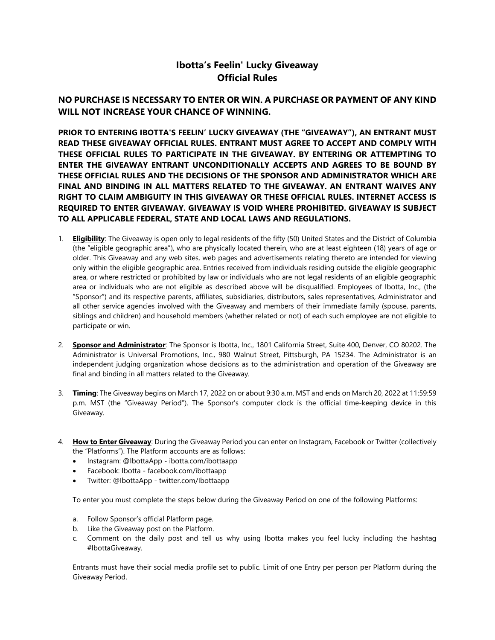## **Ibotta's Feelin' Lucky Giveaway Official Rules**

## **NO PURCHASE IS NECESSARY TO ENTER OR WIN. A PURCHASE OR PAYMENT OF ANY KIND WILL NOT INCREASE YOUR CHANCE OF WINNING.**

**PRIOR TO ENTERING IBOTTA'S FEELIN' LUCKY GIVEAWAY (THE "GIVEAWAY"), AN ENTRANT MUST READ THESE GIVEAWAY OFFICIAL RULES. ENTRANT MUST AGREE TO ACCEPT AND COMPLY WITH THESE OFFICIAL RULES TO PARTICIPATE IN THE GIVEAWAY. BY ENTERING OR ATTEMPTING TO ENTER THE GIVEAWAY ENTRANT UNCONDITIONALLY ACCEPTS AND AGREES TO BE BOUND BY THESE OFFICIAL RULES AND THE DECISIONS OF THE SPONSOR AND ADMINISTRATOR WHICH ARE FINAL AND BINDING IN ALL MATTERS RELATED TO THE GIVEAWAY. AN ENTRANT WAIVES ANY RIGHT TO CLAIM AMBIGUITY IN THIS GIVEAWAY OR THESE OFFICIAL RULES. INTERNET ACCESS IS REQUIRED TO ENTER GIVEAWAY. GIVEAWAY IS VOID WHERE PROHIBITED. GIVEAWAY IS SUBJECT TO ALL APPLICABLE FEDERAL, STATE AND LOCAL LAWS AND REGULATIONS.**

- 1. **Eligibility**: The Giveaway is open only to legal residents of the fifty (50) United States and the District of Columbia (the "eligible geographic area"), who are physically located therein, who are at least eighteen (18) years of age or older. This Giveaway and any web sites, web pages and advertisements relating thereto are intended for viewing only within the eligible geographic area. Entries received from individuals residing outside the eligible geographic area, or where restricted or prohibited by law or individuals who are not legal residents of an eligible geographic area or individuals who are not eligible as described above will be disqualified. Employees of Ibotta, Inc., (the "Sponsor") and its respective parents, affiliates, subsidiaries, distributors, sales representatives, Administrator and all other service agencies involved with the Giveaway and members of their immediate family (spouse, parents, siblings and children) and household members (whether related or not) of each such employee are not eligible to participate or win.
- 2. **Sponsor and Administrator**: The Sponsor is Ibotta, Inc., 1801 California Street, Suite 400, Denver, CO 80202. The Administrator is Universal Promotions, Inc., 980 Walnut Street, Pittsburgh, PA 15234. The Administrator is an independent judging organization whose decisions as to the administration and operation of the Giveaway are final and binding in all matters related to the Giveaway.
- 3. **Timing**: The Giveaway begins on March 17, 2022 on or about 9:30 a.m. MST and ends on March 20, 2022 at 11:59:59 p.m. MST (the "Giveaway Period"). The Sponsor's computer clock is the official time-keeping device in this Giveaway.
- 4. **How to Enter Giveaway**: During the Giveaway Period you can enter on Instagram, Facebook or Twitter (collectively the "Platforms"). The Platform accounts are as follows:
	- Instagram: @IbottaApp ibotta.com/ibottaapp
	- Facebook: Ibotta facebook.com/ibottaapp
	- Twitter: @IbottaApp twitter.com/Ibottaapp

To enter you must complete the steps below during the Giveaway Period on one of the following Platforms:

- a. Follow Sponsor's official Platform page.
- b. Like the Giveaway post on the Platform.
- c. Comment on the daily post and tell us why using Ibotta makes you feel lucky including the hashtag #IbottaGiveaway.

Entrants must have their social media profile set to public. Limit of one Entry per person per Platform during the Giveaway Period.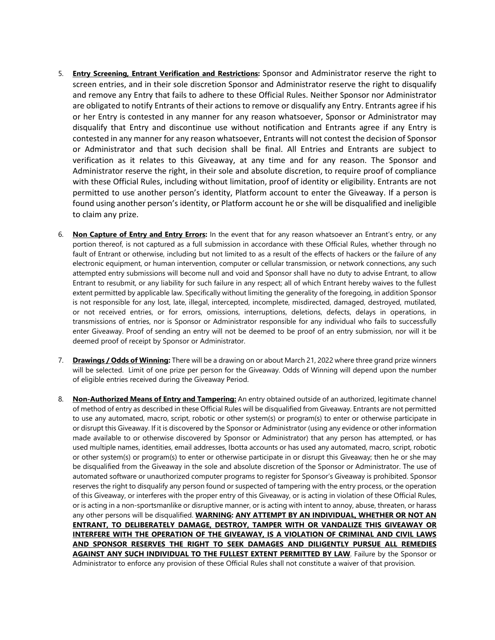- 5. **Entry Screening, Entrant Verification and Restrictions:** Sponsor and Administrator reserve the right to screen entries, and in their sole discretion Sponsor and Administrator reserve the right to disqualify and remove any Entry that fails to adhere to these Official Rules. Neither Sponsor nor Administrator are obligated to notify Entrants of their actions to remove or disqualify any Entry. Entrants agree if his or her Entry is contested in any manner for any reason whatsoever, Sponsor or Administrator may disqualify that Entry and discontinue use without notification and Entrants agree if any Entry is contested in any manner for any reason whatsoever, Entrants will not contest the decision of Sponsor or Administrator and that such decision shall be final. All Entries and Entrants are subject to verification as it relates to this Giveaway, at any time and for any reason. The Sponsor and Administrator reserve the right, in their sole and absolute discretion, to require proof of compliance with these Official Rules, including without limitation, proof of identity or eligibility. Entrants are not permitted to use another person's identity, Platform account to enter the Giveaway. If a person is found using another person's identity, or Platform account he or she will be disqualified and ineligible to claim any prize.
- 6. **Non Capture of Entry and Entry Errors:** In the event that for any reason whatsoever an Entrant's entry, or any portion thereof, is not captured as a full submission in accordance with these Official Rules, whether through no fault of Entrant or otherwise, including but not limited to as a result of the effects of hackers or the failure of any electronic equipment, or human intervention, computer or cellular transmission, or network connections, any such attempted entry submissions will become null and void and Sponsor shall have no duty to advise Entrant, to allow Entrant to resubmit, or any liability for such failure in any respect; all of which Entrant hereby waives to the fullest extent permitted by applicable law. Specifically without limiting the generality of the foregoing, in addition Sponsor is not responsible for any lost, late, illegal, intercepted, incomplete, misdirected, damaged, destroyed, mutilated, or not received entries, or for errors, omissions, interruptions, deletions, defects, delays in operations, in transmissions of entries, nor is Sponsor or Administrator responsible for any individual who fails to successfully enter Giveaway. Proof of sending an entry will not be deemed to be proof of an entry submission, nor will it be deemed proof of receipt by Sponsor or Administrator.
- 7. **Drawings / Odds of Winning:** There will be a drawing on or about March 21, 2022 where three grand prize winners will be selected. Limit of one prize per person for the Giveaway. Odds of Winning will depend upon the number of eligible entries received during the Giveaway Period.
- 8. **Non-Authorized Means of Entry and Tampering:** An entry obtained outside of an authorized, legitimate channel of method of entry as described in these Official Rules will be disqualified from Giveaway. Entrants are not permitted to use any automated, macro, script, robotic or other system(s) or program(s) to enter or otherwise participate in or disrupt this Giveaway. If it is discovered by the Sponsor or Administrator (using any evidence or other information made available to or otherwise discovered by Sponsor or Administrator) that any person has attempted, or has used multiple names, identities, email addresses, Ibotta accounts or has used any automated, macro, script, robotic or other system(s) or program(s) to enter or otherwise participate in or disrupt this Giveaway; then he or she may be disqualified from the Giveaway in the sole and absolute discretion of the Sponsor or Administrator. The use of automated software or unauthorized computer programs to register for Sponsor's Giveaway is prohibited. Sponsor reserves the right to disqualify any person found or suspected of tampering with the entry process, or the operation of this Giveaway, or interferes with the proper entry of this Giveaway, or is acting in violation of these Official Rules, or is acting in a non-sportsmanlike or disruptive manner, or is acting with intent to annoy, abuse, threaten, or harass any other persons will be disqualified. **WARNING: ANY ATTEMPT BY AN INDIVIDUAL, WHETHER OR NOT AN ENTRANT, TO DELIBERATELY DAMAGE, DESTROY, TAMPER WITH OR VANDALIZE THIS GIVEAWAY OR INTERFERE WITH THE OPERATION OF THE GIVEAWAY, IS A VIOLATION OF CRIMINAL AND CIVIL LAWS AND SPONSOR RESERVES THE RIGHT TO SEEK DAMAGES AND DILIGENTLY PURSUE ALL REMEDIES AGAINST ANY SUCH INDIVIDUAL TO THE FULLEST EXTENT PERMITTED BY LAW**. Failure by the Sponsor or Administrator to enforce any provision of these Official Rules shall not constitute a waiver of that provision.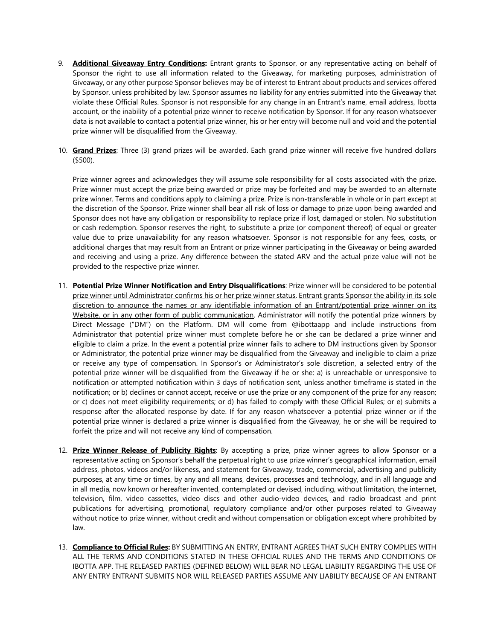- 9. **Additional Giveaway Entry Conditions:** Entrant grants to Sponsor, or any representative acting on behalf of Sponsor the right to use all information related to the Giveaway, for marketing purposes, administration of Giveaway, or any other purpose Sponsor believes may be of interest to Entrant about products and services offered by Sponsor, unless prohibited by law. Sponsor assumes no liability for any entries submitted into the Giveaway that violate these Official Rules. Sponsor is not responsible for any change in an Entrant's name, email address, Ibotta account, or the inability of a potential prize winner to receive notification by Sponsor. If for any reason whatsoever data is not available to contact a potential prize winner, his or her entry will become null and void and the potential prize winner will be disqualified from the Giveaway.
- 10. **Grand Prizes**: Three (3) grand prizes will be awarded. Each grand prize winner will receive five hundred dollars (\$500).

Prize winner agrees and acknowledges they will assume sole responsibility for all costs associated with the prize. Prize winner must accept the prize being awarded or prize may be forfeited and may be awarded to an alternate prize winner. Terms and conditions apply to claiming a prize. Prize is non-transferable in whole or in part except at the discretion of the Sponsor. Prize winner shall bear all risk of loss or damage to prize upon being awarded and Sponsor does not have any obligation or responsibility to replace prize if lost, damaged or stolen. No substitution or cash redemption. Sponsor reserves the right, to substitute a prize (or component thereof) of equal or greater value due to prize unavailability for any reason whatsoever. Sponsor is not responsible for any fees, costs, or additional charges that may result from an Entrant or prize winner participating in the Giveaway or being awarded and receiving and using a prize. Any difference between the stated ARV and the actual prize value will not be provided to the respective prize winner.

- 11. **Potential Prize Winner Notification and Entry Disqualifications**: Prize winner will be considered to be potential prize winner until Administrator confirms his or her prize winner status. Entrant grants Sponsor the ability in its sole discretion to announce the names or any identifiable information of an Entrant/potential prize winner on its Website, or in any other form of public communication. Administrator will notify the potential prize winners by Direct Message ("DM") on the Platform. DM will come from @ibottaapp and include instructions from Administrator that potential prize winner must complete before he or she can be declared a prize winner and eligible to claim a prize. In the event a potential prize winner fails to adhere to DM instructions given by Sponsor or Administrator, the potential prize winner may be disqualified from the Giveaway and ineligible to claim a prize or receive any type of compensation. In Sponsor's or Administrator's sole discretion, a selected entry of the potential prize winner will be disqualified from the Giveaway if he or she: a) is unreachable or unresponsive to notification or attempted notification within 3 days of notification sent, unless another timeframe is stated in the notification; or b) declines or cannot accept, receive or use the prize or any component of the prize for any reason; or c) does not meet eligibility requirements; or d) has failed to comply with these Official Rules; or e) submits a response after the allocated response by date. If for any reason whatsoever a potential prize winner or if the potential prize winner is declared a prize winner is disqualified from the Giveaway, he or she will be required to forfeit the prize and will not receive any kind of compensation.
- 12. **Prize Winner Release of Publicity Rights**: By accepting a prize, prize winner agrees to allow Sponsor or a representative acting on Sponsor's behalf the perpetual right to use prize winner's geographical information, email address, photos, videos and/or likeness, and statement for Giveaway, trade, commercial, advertising and publicity purposes, at any time or times, by any and all means, devices, processes and technology, and in all language and in all media, now known or hereafter invented, contemplated or devised, including, without limitation, the internet, television, film, video cassettes, video discs and other audio-video devices, and radio broadcast and print publications for advertising, promotional, regulatory compliance and/or other purposes related to Giveaway without notice to prize winner, without credit and without compensation or obligation except where prohibited by law.
- 13. **Compliance to Official Rules:** BY SUBMITTING AN ENTRY, ENTRANT AGREES THAT SUCH ENTRY COMPLIES WITH ALL THE TERMS AND CONDITIONS STATED IN THESE OFFICIAL RULES AND THE TERMS AND CONDITIONS OF IBOTTA APP. THE RELEASED PARTIES (DEFINED BELOW) WILL BEAR NO LEGAL LIABILITY REGARDING THE USE OF ANY ENTRY ENTRANT SUBMITS NOR WILL RELEASED PARTIES ASSUME ANY LIABILITY BECAUSE OF AN ENTRANT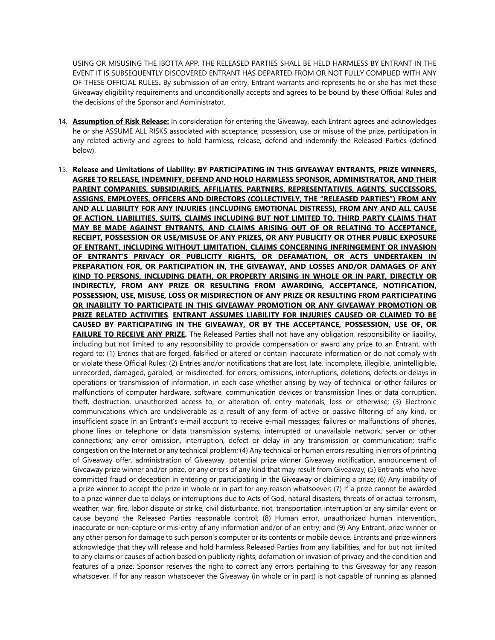USING OR MISUSING THE IBOTTA APP. THE RELEASED PARTIES SHALL BE HELD HARMLESS BY ENTRANT IN THE EVENT IT IS SUBSEQUENTLY DISCOVERED ENTRANT HAS DEPARTED FROM OR NOT FULLY COMPLIED WITH ANY OF THESE OFFICIAL RULES**.** By submission of an entry, Entrant warrants and represents he or she has met these Giveaway eligibility requirements and unconditionally accepts and agrees to be bound by these Official Rules and the decisions of the Sponsor and Administrator.

- 14. **Assumption of Risk Release:** In consideration for entering the Giveaway, each Entrant agrees and acknowledges he or she ASSUME ALL RISKS associated with acceptance, possession, use or misuse of the prize, participation in any related activity and agrees to hold harmless, release, defend and indemnify the Released Parties (defined below).
- 15. **Release and Limitations of Liability: BY PARTICIPATING IN THIS GIVEAWAY ENTRANTS, PRIZE WINNERS, AGREE TO RELEASE, INDEMNIFY, DEFEND AND HOLD HARMLESS SPONSOR, ADMINISTRATOR, AND THEIR PARENT COMPANIES, SUBSIDIARIES, AFFILIATES, PARTNERS, REPRESENTATIVES, AGENTS, SUCCESSORS, ASSIGNS, EMPLOYEES, OFFICERS AND DIRECTORS (COLLECTIVELY, THE "RELEASED PARTIES") FROM ANY AND ALL LIABILITY FOR ANY INJURIES (INCLUDING EMOTIONAL DISTRESS), FROM ANY AND ALL CAUSE OF ACTION, LIABILITIES, SUITS, CLAIMS INCLUDING BUT NOT LIMITED TO, THIRD PARTY CLAIMS THAT MAY BE MADE AGAINST ENTRANTS, AND CLAIMS ARISING OUT OF OR RELATING TO ACCEPTANCE, RECEIPT, POSSESSION OR USE/MISUSE OF ANY PRIZES, OR ANY PUBLICITY OR OTHER PUBLIC EXPOSURE OF ENTRANT, INCLUDING WITHOUT LIMITATION, CLAIMS CONCERNING INFRINGEMENT OR INVASION OF ENTRANT'S PRIVACY OR PUBLICITY RIGHTS, OR DEFAMATION, OR ACTS UNDERTAKEN IN PREPARATION FOR, OR PARTICIPATION IN, THE GIVEAWAY, AND LOSSES AND/OR DAMAGES OF ANY KIND TO PERSONS, INCLUDING DEATH, OR PROPERTY ARISING IN WHOLE OR IN PART, DIRECTLY OR INDIRECTLY, FROM ANY PRIZE OR RESULTING FROM AWARDING, ACCEPTANCE, NOTIFICATION, POSSESSION, USE, MISUSE, LOSS OR MISDIRECTION OF ANY PRIZE OR RESULTING FROM PARTICIPATING OR INABILITY TO PARTICIPATE IN THIS GIVEAWAY PROMOTION OR ANY GIVEAWAY PROMOTION OR PRIZE RELATED ACTIVITIES**. **ENTRANT ASSUMES LIABILITY FOR INJURIES CAUSED OR CLAIMED TO BE CAUSED BY PARTICIPATING IN THE GIVEAWAY, OR BY THE ACCEPTANCE, POSSESSION, USE OF, OR FAILURE TO RECEIVE ANY PRIZE.** The Released Parties shall not have any obligation, responsibility or liability, including but not limited to any responsibility to provide compensation or award any prize to an Entrant, with regard to: (1) Entries that are forged, falsified or altered or contain inaccurate information or do not comply with or violate these Official Rules; (2) Entries and/or notifications that are lost, late, incomplete, illegible, unintelligible, unrecorded, damaged, garbled, or misdirected, for errors, omissions, interruptions, deletions, defects or delays in operations or transmission of information, in each case whether arising by way of technical or other failures or malfunctions of computer hardware, software, communication devices or transmission lines or data corruption, theft, destruction, unauthorized access to, or alteration of, entry materials, loss or otherwise; (3) Electronic communications which are undeliverable as a result of any form of active or passive filtering of any kind, or insufficient space in an Entrant's e-mail account to receive e-mail messages; failures or malfunctions of phones, phone lines or telephone or data transmission systems; interrupted or unavailable network, server or other connections; any error omission, interruption, defect or delay in any transmission or communication; traffic congestion on the Internet or any technical problem; (4) Any technical or human errors resulting in errors of printing of Giveaway offer, administration of Giveaway, potential prize winner Giveaway notification, announcement of Giveaway prize winner and/or prize, or any errors of any kind that may result from Giveaway; (5) Entrants who have committed fraud or deception in entering or participating in the Giveaway or claiming a prize; (6) Any inability of a prize winner to accept the prize in whole or in part for any reason whatsoever; (7) If a prize cannot be awarded to a prize winner due to delays or interruptions due to Acts of God, natural disasters, threats of or actual terrorism, weather, war, fire, labor dispute or strike, civil disturbance, riot, transportation interruption or any similar event or cause beyond the Released Parties reasonable control; (8) Human error, unauthorized human intervention, inaccurate or non-capture or mis-entry of any information and/or of an entry; and (9) Any Entrant, prize winner or any other person for damage to such person's computer or its contents or mobile device. Entrants and prize winners acknowledge that they will release and hold harmless Released Parties from any liabilities, and for but not limited to any claims or causes of action based on publicity rights, defamation or invasion of privacy and the condition and features of a prize. Sponsor reserves the right to correct any errors pertaining to this Giveaway for any reason whatsoever. If for any reason whatsoever the Giveaway (in whole or in part) is not capable of running as planned